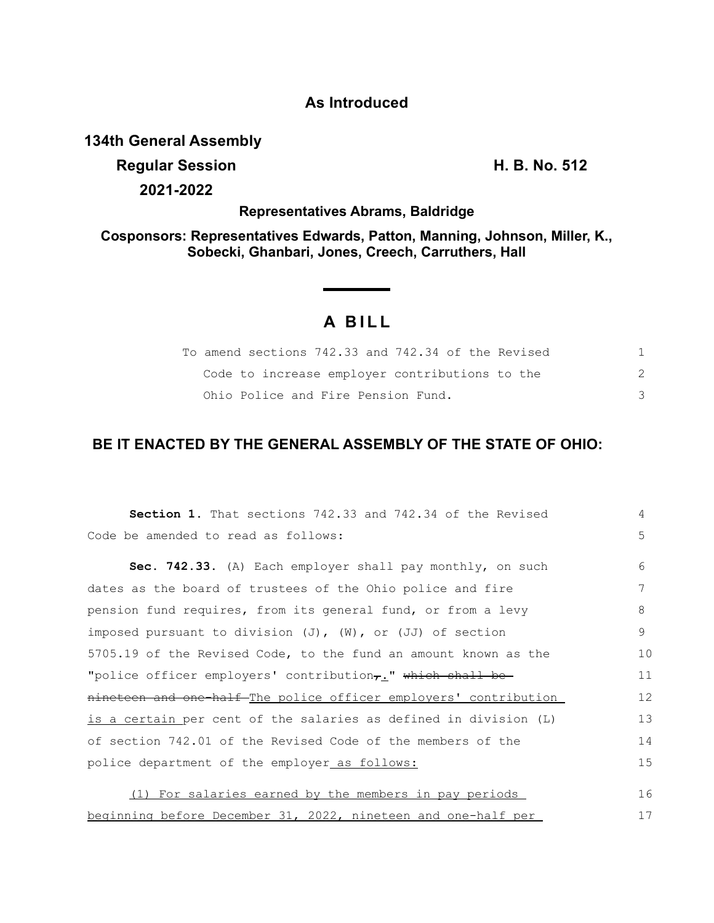### **As Introduced**

## **134th General Assembly**

**Regular Session H. B. No. 512**

**2021-2022**

**Representatives Abrams, Baldridge**

**Cosponsors: Representatives Edwards, Patton, Manning, Johnson, Miller, K., Sobecki, Ghanbari, Jones, Creech, Carruthers, Hall**

# **A BILL**

| To amend sections 742.33 and 742.34 of the Revised |  |
|----------------------------------------------------|--|
| Code to increase emplover contributions to the     |  |
| Ohio Police and Fire Pension Fund.                 |  |

## **BE IT ENACTED BY THE GENERAL ASSEMBLY OF THE STATE OF OHIO:**

| Section 1. That sections 742.33 and 742.34 of the Revised               | 4  |
|-------------------------------------------------------------------------|----|
| Code be amended to read as follows:                                     | 5  |
| Sec. 742.33. (A) Each employer shall pay monthly, on such               | 6  |
| dates as the board of trustees of the Ohio police and fire              | 7  |
| pension fund requires, from its general fund, or from a levy            | 8  |
| imposed pursuant to division $(J)$ , $(W)$ , or $(JJ)$ of section       | 9  |
| 5705.19 of the Revised Code, to the fund an amount known as the         | 10 |
| "police officer employers' contribution <sub>7</sub> ." which shall be- | 11 |
| nineteen and one-half-The police officer employers' contribution        | 12 |
| is a certain per cent of the salaries as defined in division (L)        | 13 |
| of section 742.01 of the Revised Code of the members of the             | 14 |
| police department of the employer as follows:                           | 15 |
|                                                                         |    |
| (1) For salaries earned by the members in pay periods                   | 16 |
| beginning before December 31, 2022, nineteen and one-half per           | 17 |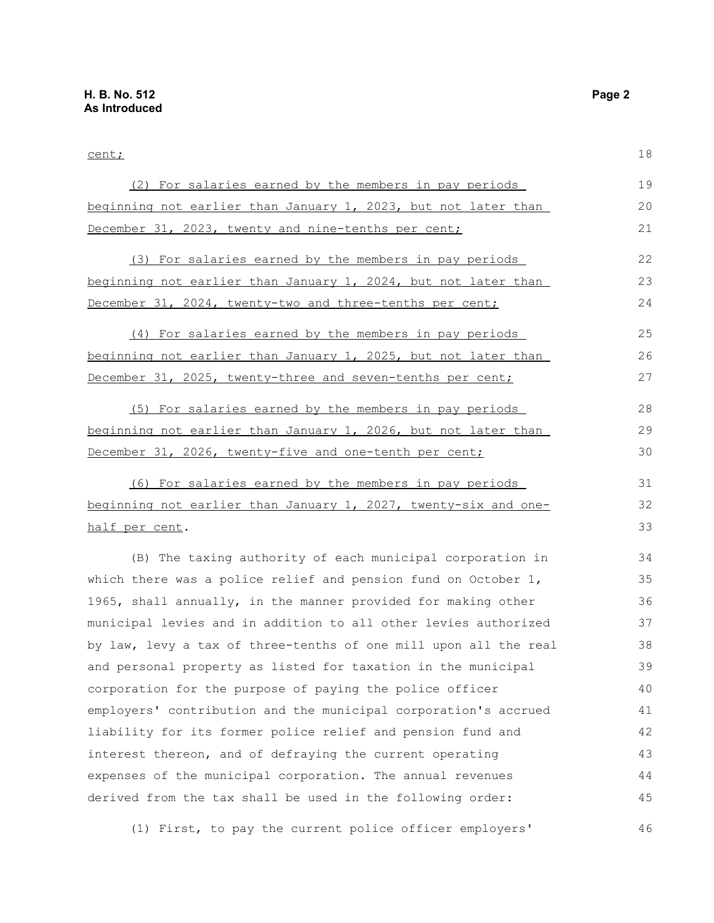31 32 33

#### cent; (2) For salaries earned by the members in pay periods beginning not earlier than January 1, 2023, but not later than December 31, 2023, twenty and nine-tenths per cent; (3) For salaries earned by the members in pay periods beginning not earlier than January 1, 2024, but not later than December 31, 2024, twenty-two and three-tenths per cent; (4) For salaries earned by the members in pay periods beginning not earlier than January 1, 2025, but not later than December 31, 2025, twenty-three and seven-tenths per cent; 18 19 20 21 22 23 24 25 26 27

(5) For salaries earned by the members in pay periods beginning not earlier than January 1, 2026, but not later than December 31, 2026, twenty-five and one-tenth per cent; 28 29 30

(6) For salaries earned by the members in pay periods beginning not earlier than January 1, 2027, twenty-six and onehalf per cent.

(B) The taxing authority of each municipal corporation in which there was a police relief and pension fund on October 1, 1965, shall annually, in the manner provided for making other municipal levies and in addition to all other levies authorized by law, levy a tax of three-tenths of one mill upon all the real and personal property as listed for taxation in the municipal corporation for the purpose of paying the police officer employers' contribution and the municipal corporation's accrued liability for its former police relief and pension fund and interest thereon, and of defraying the current operating expenses of the municipal corporation. The annual revenues derived from the tax shall be used in the following order: 34 35 36 37 38 39 40 41 42 43 44 45

(1) First, to pay the current police officer employers' 46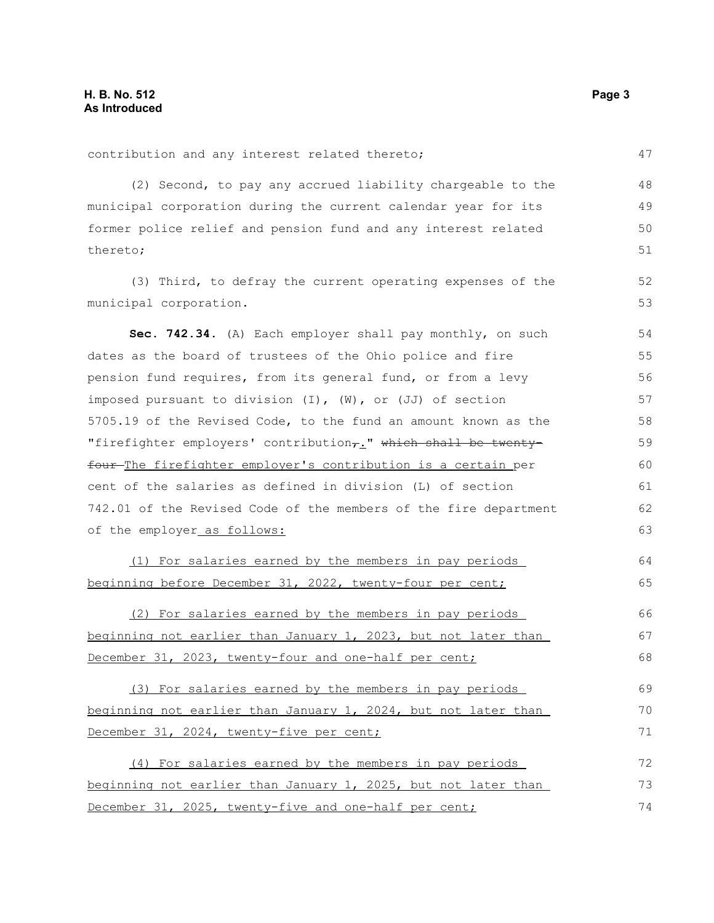| contribution and any interest related thereto;                    | 47 |
|-------------------------------------------------------------------|----|
| (2) Second, to pay any accrued liability chargeable to the        | 48 |
| municipal corporation during the current calendar year for its    | 49 |
| former police relief and pension fund and any interest related    | 50 |
| thereto;                                                          | 51 |
| (3) Third, to defray the current operating expenses of the        | 52 |
| municipal corporation.                                            | 53 |
| Sec. 742.34. (A) Each employer shall pay monthly, on such         | 54 |
| dates as the board of trustees of the Ohio police and fire        | 55 |
| pension fund requires, from its general fund, or from a levy      | 56 |
| imposed pursuant to division $(I)$ , $(W)$ , or $(JJ)$ of section | 57 |
| 5705.19 of the Revised Code, to the fund an amount known as the   | 58 |
| "firefighter employers' contribution,." which shall be twenty-    | 59 |
| four-The firefighter employer's contribution is a certain per     | 60 |
| cent of the salaries as defined in division (L) of section        | 61 |
| 742.01 of the Revised Code of the members of the fire department  | 62 |
| of the employer_as follows:                                       | 63 |
| (1) For salaries earned by the members in pay periods             | 64 |
| beginning before December 31, 2022, twenty-four per cent;         | 65 |
| (2) For salaries earned by the members in pay periods             | 66 |
| beginning not earlier than January 1, 2023, but not later than    | 67 |
| December 31, 2023, twenty-four and one-half per cent;             | 68 |
| (3) For salaries earned by the members in pay periods             | 69 |
| beginning not earlier than January 1, 2024, but not later than    | 70 |
| December 31, 2024, twenty-five per cent;                          | 71 |
| (4) For salaries earned by the members in pay periods             | 72 |
| beginning not earlier than January 1, 2025, but not later than    | 73 |
| December 31, 2025, twenty-five and one-half per cent;             | 74 |